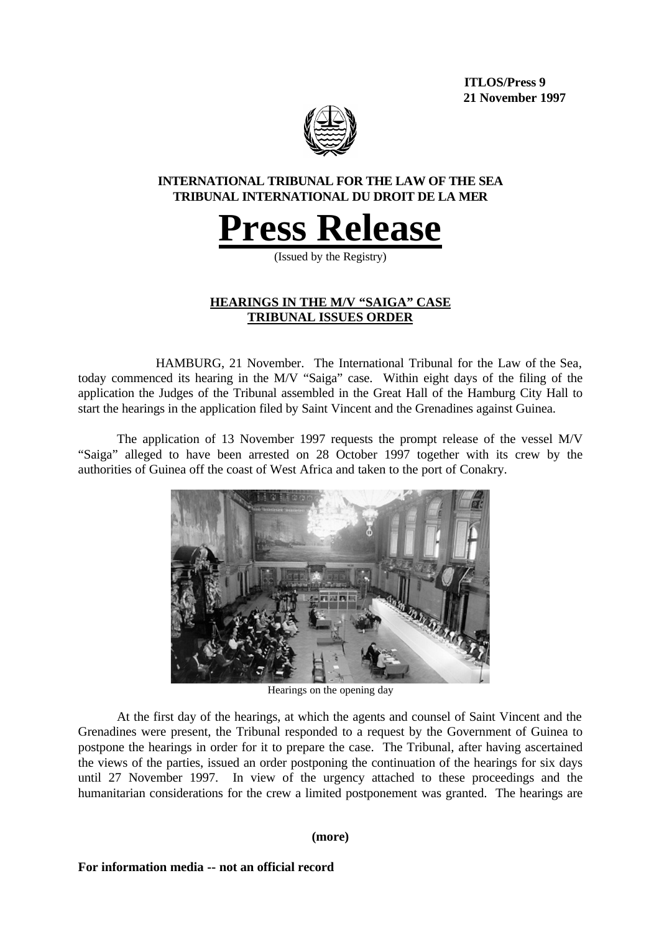**ITLOS/Press 9 21 November 1997**



## **INTERNATIONAL TRIBUNAL FOR THE LAW OF THE SEA TRIBUNAL INTERNATIONAL DU DROIT DE LA MER**



(Issued by the Registry)

# **HEARINGS IN THE M/V "SAIGA" CASE TRIBUNAL ISSUES ORDER**

HAMBURG, 21 November. The International Tribunal for the Law of the Sea, today commenced its hearing in the M/V "Saiga" case. Within eight days of the filing of the application the Judges of the Tribunal assembled in the Great Hall of the Hamburg City Hall to start the hearings in the application filed by Saint Vincent and the Grenadines against Guinea.

The application of 13 November 1997 requests the prompt release of the vessel M/V "Saiga" alleged to have been arrested on 28 October 1997 together with its crew by the authorities of Guinea off the coast of West Africa and taken to the port of Conakry.



Hearings on the opening day

At the first day of the hearings, at which the agents and counsel of Saint Vincent and the Grenadines were present, the Tribunal responded to a request by the Government of Guinea to postpone the hearings in order for it to prepare the case. The Tribunal, after having ascertained the views of the parties, issued an order postponing the continuation of the hearings for six days until 27 November 1997. In view of the urgency attached to these proceedings and the humanitarian considerations for the crew a limited postponement was granted. The hearings are

#### **(more)**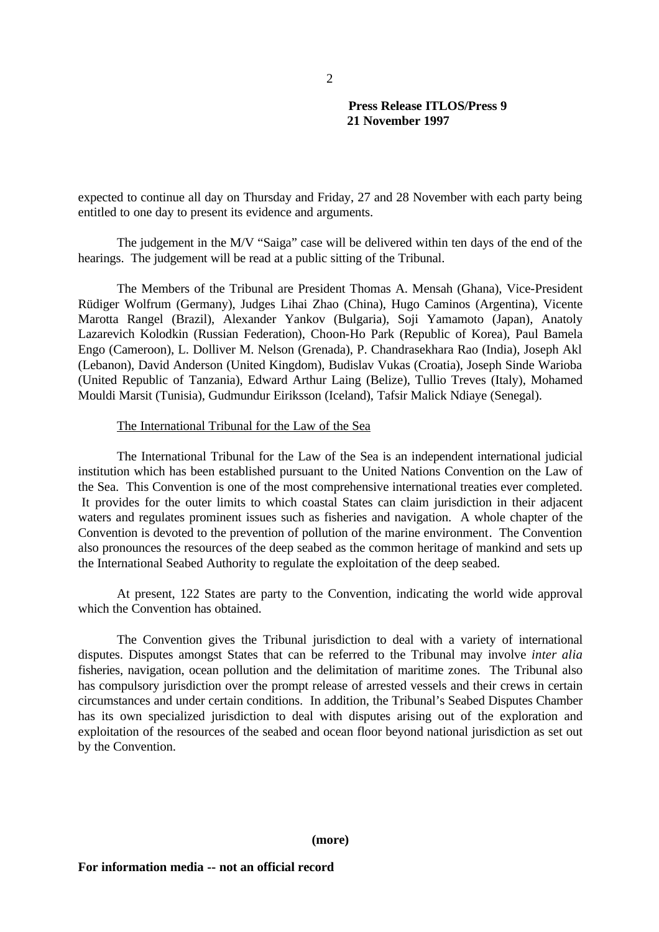### **Press Release ITLOS/Press 9 21 November 1997**

expected to continue all day on Thursday and Friday, 27 and 28 November with each party being entitled to one day to present its evidence and arguments.

The judgement in the M/V "Saiga" case will be delivered within ten days of the end of the hearings. The judgement will be read at a public sitting of the Tribunal.

The Members of the Tribunal are President Thomas A. Mensah (Ghana), Vice-President Rüdiger Wolfrum (Germany), Judges Lihai Zhao (China), Hugo Caminos (Argentina), Vicente Marotta Rangel (Brazil), Alexander Yankov (Bulgaria), Soji Yamamoto (Japan), Anatoly Lazarevich Kolodkin (Russian Federation), Choon-Ho Park (Republic of Korea), Paul Bamela Engo (Cameroon), L. Dolliver M. Nelson (Grenada), P. Chandrasekhara Rao (India), Joseph Akl (Lebanon), David Anderson (United Kingdom), Budislav Vukas (Croatia), Joseph Sinde Warioba (United Republic of Tanzania), Edward Arthur Laing (Belize), Tullio Treves (Italy), Mohamed Mouldi Marsit (Tunisia), Gudmundur Eiriksson (Iceland), Tafsir Malick Ndiaye (Senegal).

#### The International Tribunal for the Law of the Sea

The International Tribunal for the Law of the Sea is an independent international judicial institution which has been established pursuant to the United Nations Convention on the Law of the Sea. This Convention is one of the most comprehensive international treaties ever completed. It provides for the outer limits to which coastal States can claim jurisdiction in their adjacent waters and regulates prominent issues such as fisheries and navigation. A whole chapter of the Convention is devoted to the prevention of pollution of the marine environment. The Convention also pronounces the resources of the deep seabed as the common heritage of mankind and sets up the International Seabed Authority to regulate the exploitation of the deep seabed.

At present, 122 States are party to the Convention, indicating the world wide approval which the Convention has obtained.

The Convention gives the Tribunal jurisdiction to deal with a variety of international disputes. Disputes amongst States that can be referred to the Tribunal may involve *inter alia* fisheries, navigation, ocean pollution and the delimitation of maritime zones. The Tribunal also has compulsory jurisdiction over the prompt release of arrested vessels and their crews in certain circumstances and under certain conditions. In addition, the Tribunal's Seabed Disputes Chamber has its own specialized jurisdiction to deal with disputes arising out of the exploration and exploitation of the resources of the seabed and ocean floor beyond national jurisdiction as set out by the Convention.